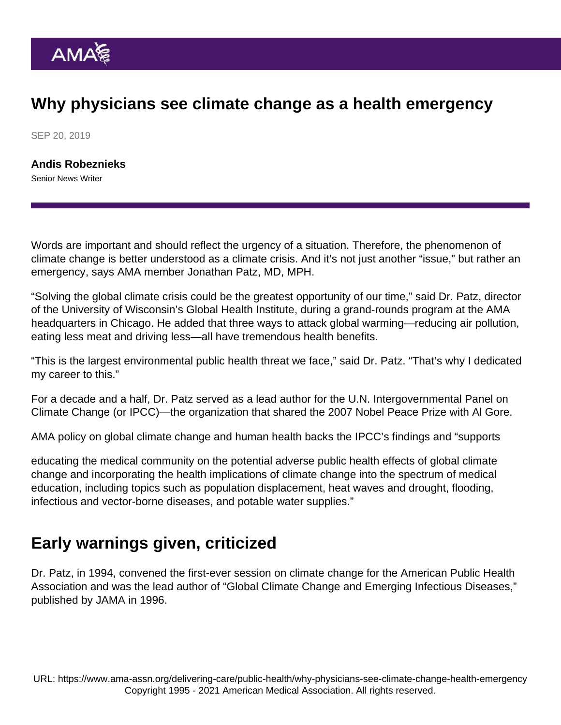## Why physicians see climate change as a health emergency

SEP 20, 2019

[Andis Robeznieks](https://www.ama-assn.org/news-leadership-viewpoints/authors-news-leadership-viewpoints/andis-robeznieks) Senior News Writer

Words are important and should reflect the urgency of a situation. Therefore, the phenomenon of climate change is better understood as a climate crisis. And it's not just another "issue," but rather an emergency, says AMA member Jonathan Patz, MD, MPH.

"Solving the global climate crisis could be the greatest opportunity of our time," said Dr. Patz, director of the University of Wisconsin's Global Health Institute, during a grand-rounds program at the AMA headquarters in Chicago. He added that three ways to attack global warming—reducing air pollution, eating less meat and driving less—all have tremendous health benefits.

"This is the largest environmental public health threat we face," said Dr. Patz. "That's why I dedicated my career to this."

For a decade and a half, Dr. Patz served as a lead author for the U.N. Intergovernmental Panel on Climate Change (or IPCC)—the organization that shared the 2007 Nobel Peace Prize with Al Gore.

[AMA policy on global climate change and human health](https://policysearch.ama-assn.org/policyfinder/detail/climate change?uri=/AMADoc/HOD.xml-0-309.xml) backs the IPCC's findings and "supports

educating the medical community on the potential adverse public health effects of global climate change and incorporating the health implications of climate change into the spectrum of medical education, including topics such as population displacement, heat waves and drought, flooding, infectious and vector-borne diseases, and potable water supplies."

## Early warnings given, criticized

Dr. Patz, in 1994, convened the first-ever session on climate change for the American Public Health Association and was the lead author of ["Global Climate Change and Emerging Infectious Diseases,](https://jamanetwork.com/journals/jama/fullarticle/394508)" published by JAMA in 1996.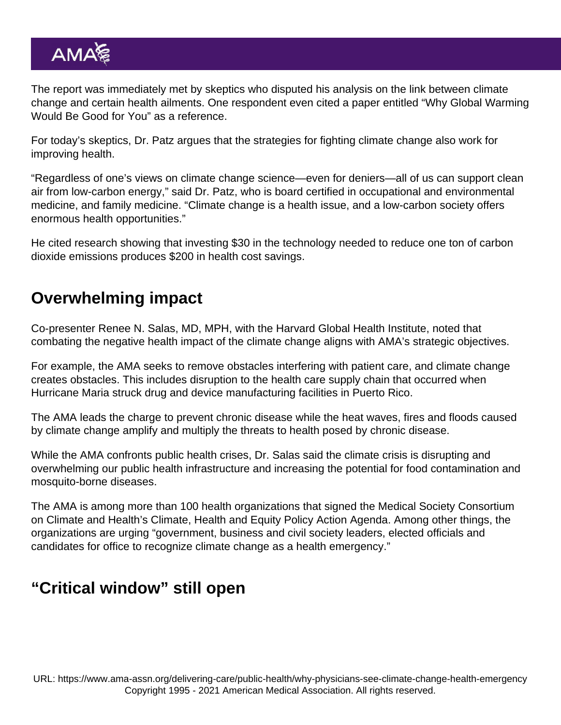The report was immediately met by skeptics who disputed his analysis on the link between climate change and certain health ailments. One respondent even cited a paper entitled "Why Global Warming Would Be Good for You" as a reference.

For today's skeptics, Dr. Patz argues that the strategies for fighting climate change also work for improving health.

"Regardless of one's views on climate change science—even for deniers—all of us can support clean air from low-carbon energy," said Dr. Patz, who is board certified in occupational and environmental medicine, and family medicine. "Climate change is a health issue, and a low-carbon society offers enormous health opportunities."

He cited research showing that investing \$30 in the technology needed to reduce one ton of carbon dioxide emissions produces \$200 in health cost savings.

## Overwhelming impact

Co-presenter Renee N. Salas, MD, MPH, with the Harvard Global Health Institute, noted that combating the negative health impact of the climate change aligns with AMA's strategic objectives.

For example, the AMA seeks to remove obstacles interfering with patient care, and climate change creates obstacles. This includes disruption to the health care supply chain that occurred when Hurricane Maria struck drug and device manufacturing facilities in Puerto Rico.

The AMA leads the charge to prevent chronic disease while the heat waves, fires and floods caused by climate change amplify and multiply the threats to health posed by chronic disease.

While the AMA confronts public health crises, Dr. Salas said the climate crisis is disrupting and overwhelming our public health infrastructure and increasing the potential for food contamination and mosquito-borne diseases.

The AMA is among more than 100 health organizations that signed the Medical Society Consortium on Climate and Health's [Climate, Health and Equity Policy Action Agenda.](https://climatehealthaction.org/cta/climate-health-equity-policy/) Among other things, the organizations are urging "government, business and civil society leaders, elected officials and candidates for office to recognize climate change as a health emergency."

## "Critical window" still open